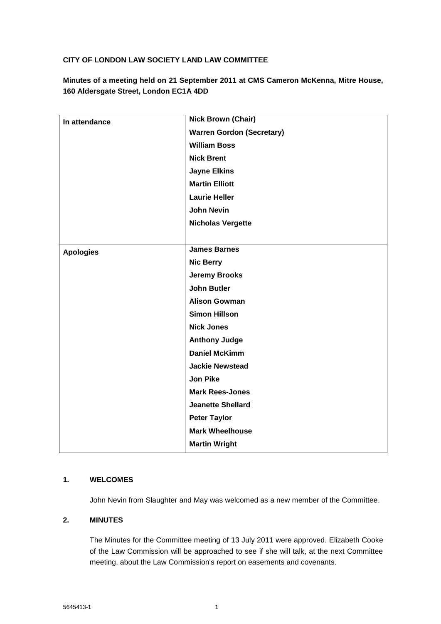## **CITY OF LONDON LAW SOCIETY LAND LAW COMMITTEE**

**Minutes of a meeting held on 21 September 2011 at CMS Cameron McKenna, Mitre House, 160 Aldersgate Street, London EC1A 4DD**

| In attendance    | <b>Nick Brown (Chair)</b>        |
|------------------|----------------------------------|
|                  | <b>Warren Gordon (Secretary)</b> |
|                  | <b>William Boss</b>              |
|                  | <b>Nick Brent</b>                |
|                  | <b>Jayne Elkins</b>              |
|                  | <b>Martin Elliott</b>            |
|                  | <b>Laurie Heller</b>             |
|                  | <b>John Nevin</b>                |
|                  | <b>Nicholas Vergette</b>         |
|                  |                                  |
| <b>Apologies</b> | <b>James Barnes</b>              |
|                  | <b>Nic Berry</b>                 |
|                  | <b>Jeremy Brooks</b>             |
|                  | <b>John Butler</b>               |
|                  | <b>Alison Gowman</b>             |
|                  | <b>Simon Hillson</b>             |
|                  | <b>Nick Jones</b>                |
|                  | <b>Anthony Judge</b>             |
|                  | <b>Daniel McKimm</b>             |
|                  | <b>Jackie Newstead</b>           |
|                  | <b>Jon Pike</b>                  |
|                  | <b>Mark Rees-Jones</b>           |
|                  | <b>Jeanette Shellard</b>         |
|                  | <b>Peter Taylor</b>              |
|                  | <b>Mark Wheelhouse</b>           |
|                  | <b>Martin Wright</b>             |

## **1. WELCOMES**

John Nevin from Slaughter and May was welcomed as a new member of the Committee.

### **2. MINUTES**

The Minutes for the Committee meeting of 13 July 2011 were approved. Elizabeth Cooke of the Law Commission will be approached to see if she will talk, at the next Committee meeting, about the Law Commission's report on easements and covenants.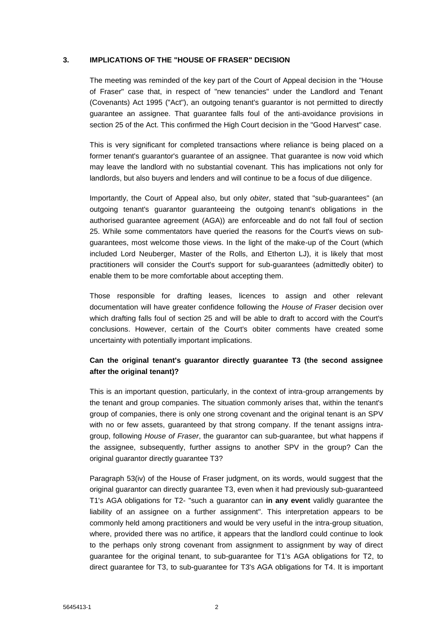#### **3. IMPLICATIONS OF THE "HOUSE OF FRASER" DECISION**

The meeting was reminded of the key part of the Court of Appeal decision in the "House of Fraser" case that, in respect of "new tenancies" under the Landlord and Tenant (Covenants) Act 1995 ("Act"), an outgoing tenant's guarantor is not permitted to directly guarantee an assignee. That guarantee falls foul of the anti-avoidance provisions in section 25 of the Act. This confirmed the High Court decision in the "Good Harvest" case.

This is very significant for completed transactions where reliance is being placed on a former tenant's guarantor's guarantee of an assignee. That guarantee is now void which may leave the landlord with no substantial covenant. This has implications not only for landlords, but also buyers and lenders and will continue to be a focus of due diligence.

Importantly, the Court of Appeal also, but only *obiter*, stated that "sub-guarantees" (an outgoing tenant's guarantor guaranteeing the outgoing tenant's obligations in the authorised guarantee agreement (AGA)) are enforceable and do not fall foul of section 25. While some commentators have queried the reasons for the Court's views on subguarantees, most welcome those views. In the light of the make-up of the Court (which included Lord Neuberger, Master of the Rolls, and Etherton LJ), it is likely that most practitioners will consider the Court's support for sub-guarantees (admittedly obiter) to enable them to be more comfortable about accepting them.

Those responsible for drafting leases, licences to assign and other relevant documentation will have greater confidence following the *House of Fraser* decision over which drafting falls foul of section 25 and will be able to draft to accord with the Court's conclusions. However, certain of the Court's obiter comments have created some uncertainty with potentially important implications.

## **Can the original tenant's guarantor directly guarantee T3 (the second assignee after the original tenant)?**

This is an important question, particularly, in the context of intra-group arrangements by the tenant and group companies. The situation commonly arises that, within the tenant's group of companies, there is only one strong covenant and the original tenant is an SPV with no or few assets, guaranteed by that strong company. If the tenant assigns intragroup, following *House of Fraser*, the guarantor can sub-guarantee, but what happens if the assignee, subsequently, further assigns to another SPV in the group? Can the original guarantor directly guarantee T3?

Paragraph 53(iv) of the House of Fraser judgment, on its words, would suggest that the original guarantor can directly guarantee T3, even when it had previously sub-guaranteed T1's AGA obligations for T2- "such a guarantor can **in any event** validly guarantee the liability of an assignee on a further assignment". This interpretation appears to be commonly held among practitioners and would be very useful in the intra-group situation, where, provided there was no artifice, it appears that the landlord could continue to look to the perhaps only strong covenant from assignment to assignment by way of direct guarantee for the original tenant, to sub-guarantee for T1's AGA obligations for T2, to direct guarantee for T3, to sub-guarantee for T3's AGA obligations for T4. It is important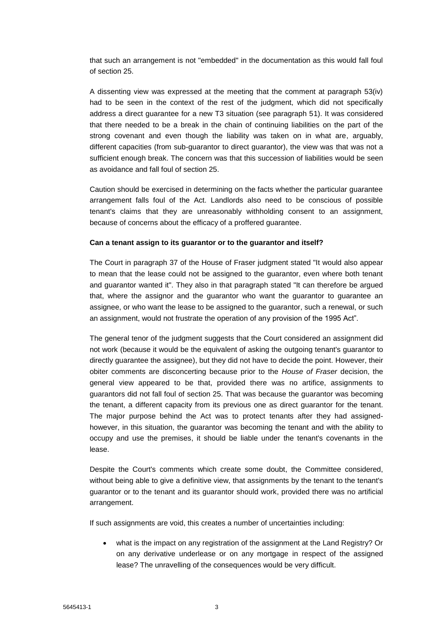that such an arrangement is not "embedded" in the documentation as this would fall foul of section 25.

A dissenting view was expressed at the meeting that the comment at paragraph 53(iv) had to be seen in the context of the rest of the judgment, which did not specifically address a direct guarantee for a new T3 situation (see paragraph 51). It was considered that there needed to be a break in the chain of continuing liabilities on the part of the strong covenant and even though the liability was taken on in what are, arguably, different capacities (from sub-guarantor to direct guarantor), the view was that was not a sufficient enough break. The concern was that this succession of liabilities would be seen as avoidance and fall foul of section 25.

Caution should be exercised in determining on the facts whether the particular guarantee arrangement falls foul of the Act. Landlords also need to be conscious of possible tenant's claims that they are unreasonably withholding consent to an assignment, because of concerns about the efficacy of a proffered guarantee.

#### **Can a tenant assign to its guarantor or to the guarantor and itself?**

The Court in paragraph 37 of the House of Fraser judgment stated "It would also appear to mean that the lease could not be assigned to the guarantor, even where both tenant and guarantor wanted it". They also in that paragraph stated "It can therefore be argued that, where the assignor and the guarantor who want the guarantor to guarantee an assignee, or who want the lease to be assigned to the guarantor, such a renewal, or such an assignment, would not frustrate the operation of any provision of the 1995 Act".

The general tenor of the judgment suggests that the Court considered an assignment did not work (because it would be the equivalent of asking the outgoing tenant's guarantor to directly guarantee the assignee), but they did not have to decide the point. However, their obiter comments are disconcerting because prior to the *House of Fraser* decision, the general view appeared to be that, provided there was no artifice, assignments to guarantors did not fall foul of section 25. That was because the guarantor was becoming the tenant, a different capacity from its previous one as direct guarantor for the tenant. The major purpose behind the Act was to protect tenants after they had assignedhowever, in this situation, the guarantor was becoming the tenant and with the ability to occupy and use the premises, it should be liable under the tenant's covenants in the lease.

Despite the Court's comments which create some doubt, the Committee considered, without being able to give a definitive view, that assignments by the tenant to the tenant's guarantor or to the tenant and its guarantor should work, provided there was no artificial arrangement.

If such assignments are void, this creates a number of uncertainties including:

 what is the impact on any registration of the assignment at the Land Registry? Or on any derivative underlease or on any mortgage in respect of the assigned lease? The unravelling of the consequences would be very difficult.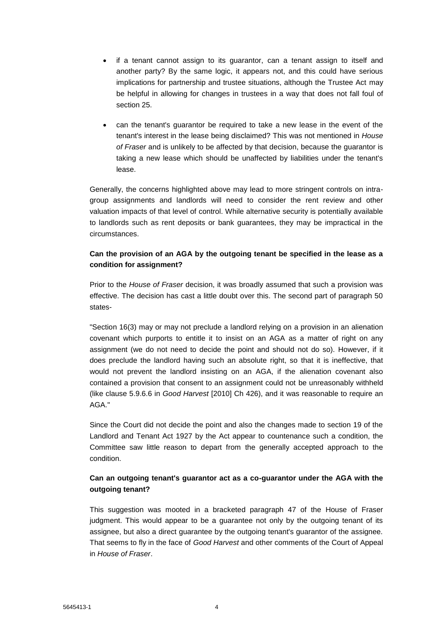- if a tenant cannot assign to its guarantor, can a tenant assign to itself and another party? By the same logic, it appears not, and this could have serious implications for partnership and trustee situations, although the Trustee Act may be helpful in allowing for changes in trustees in a way that does not fall foul of section 25.
- can the tenant's guarantor be required to take a new lease in the event of the tenant's interest in the lease being disclaimed? This was not mentioned in *House of Fraser* and is unlikely to be affected by that decision, because the guarantor is taking a new lease which should be unaffected by liabilities under the tenant's lease.

Generally, the concerns highlighted above may lead to more stringent controls on intragroup assignments and landlords will need to consider the rent review and other valuation impacts of that level of control. While alternative security is potentially available to landlords such as rent deposits or bank guarantees, they may be impractical in the circumstances.

## **Can the provision of an AGA by the outgoing tenant be specified in the lease as a condition for assignment?**

Prior to the *House of Fraser* decision, it was broadly assumed that such a provision was effective. The decision has cast a little doubt over this. The second part of paragraph 50 states-

"Section 16(3) may or may not preclude a landlord relying on a provision in an alienation covenant which purports to entitle it to insist on an AGA as a matter of right on any assignment (we do not need to decide the point and should not do so). However, if it does preclude the landlord having such an absolute right, so that it is ineffective, that would not prevent the landlord insisting on an AGA, if the alienation covenant also contained a provision that consent to an assignment could not be unreasonably withheld (like clause 5.9.6.6 in *Good Harvest* [2010] Ch 426), and it was reasonable to require an AGA."

Since the Court did not decide the point and also the changes made to section 19 of the Landlord and Tenant Act 1927 by the Act appear to countenance such a condition, the Committee saw little reason to depart from the generally accepted approach to the condition.

# **Can an outgoing tenant's guarantor act as a co-guarantor under the AGA with the outgoing tenant?**

This suggestion was mooted in a bracketed paragraph 47 of the House of Fraser judgment. This would appear to be a guarantee not only by the outgoing tenant of its assignee, but also a direct guarantee by the outgoing tenant's guarantor of the assignee. That seems to fly in the face of *Good Harvest* and other comments of the Court of Appeal in *House of Fraser*.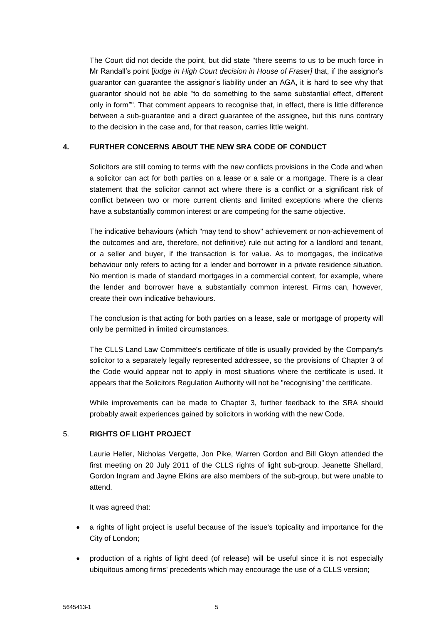The Court did not decide the point, but did state "there seems to us to be much force in Mr Randall's point [*judge in High Court decision in House of Fraser]* that, if the assignor's guarantor can guarantee the assignor's liability under an AGA, it is hard to see why that guarantor should not be able "to do something to the same substantial effect, different only in form"". That comment appears to recognise that, in effect, there is little difference between a sub-guarantee and a direct guarantee of the assignee, but this runs contrary to the decision in the case and, for that reason, carries little weight.

### **4. FURTHER CONCERNS ABOUT THE NEW SRA CODE OF CONDUCT**

Solicitors are still coming to terms with the new conflicts provisions in the Code and when a solicitor can act for both parties on a lease or a sale or a mortgage. There is a clear statement that the solicitor cannot act where there is a conflict or a significant risk of conflict between two or more current clients and limited exceptions where the clients have a substantially common interest or are competing for the same objective.

The indicative behaviours (which "may tend to show" achievement or non-achievement of the outcomes and are, therefore, not definitive) rule out acting for a landlord and tenant, or a seller and buyer, if the transaction is for value. As to mortgages, the indicative behaviour only refers to acting for a lender and borrower in a private residence situation. No mention is made of standard mortgages in a commercial context, for example, where the lender and borrower have a substantially common interest. Firms can, however, create their own indicative behaviours.

The conclusion is that acting for both parties on a lease, sale or mortgage of property will only be permitted in limited circumstances.

The CLLS Land Law Committee's certificate of title is usually provided by the Company's solicitor to a separately legally represented addressee, so the provisions of Chapter 3 of the Code would appear not to apply in most situations where the certificate is used. It appears that the Solicitors Regulation Authority will not be "recognising" the certificate.

While improvements can be made to Chapter 3, further feedback to the SRA should probably await experiences gained by solicitors in working with the new Code.

### 5. **RIGHTS OF LIGHT PROJECT**

Laurie Heller, Nicholas Vergette, Jon Pike, Warren Gordon and Bill Gloyn attended the first meeting on 20 July 2011 of the CLLS rights of light sub-group. Jeanette Shellard, Gordon Ingram and Jayne Elkins are also members of the sub-group, but were unable to attend.

It was agreed that:

- a rights of light project is useful because of the issue's topicality and importance for the City of London;
- production of a rights of light deed (of release) will be useful since it is not especially ubiquitous among firms' precedents which may encourage the use of a CLLS version;